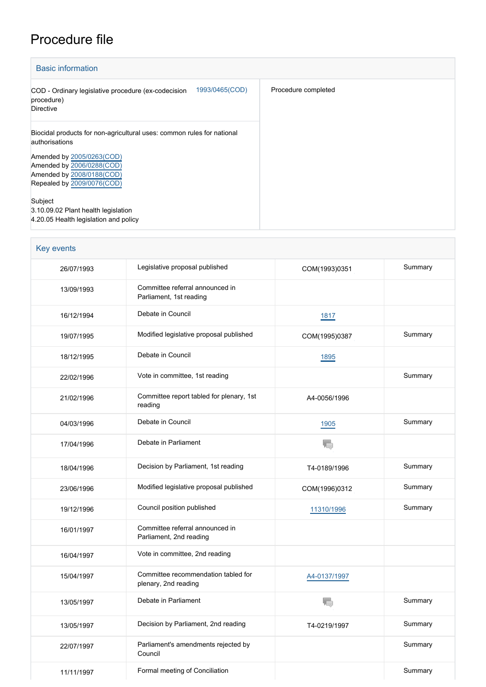## Procedure file

| <b>Basic information</b>                                                                                                                                                                                      |                     |  |  |  |
|---------------------------------------------------------------------------------------------------------------------------------------------------------------------------------------------------------------|---------------------|--|--|--|
| 1993/0465(COD)<br>COD - Ordinary legislative procedure (ex-codecision<br>procedure)<br><b>Directive</b>                                                                                                       | Procedure completed |  |  |  |
| Biocidal products for non-agricultural uses: common rules for national<br>authorisations<br>Amended by 2005/0263(COD)<br>Amended by 2006/0288(COD)<br>Amended by 2008/0188(COD)<br>Repealed by 2009/0076(COD) |                     |  |  |  |
| Subject<br>3.10.09.02 Plant health legislation<br>4.20.05 Health legislation and policy                                                                                                                       |                     |  |  |  |

| <b>Key events</b> |                                                             |               |         |
|-------------------|-------------------------------------------------------------|---------------|---------|
| 26/07/1993        | Legislative proposal published                              | COM(1993)0351 | Summary |
| 13/09/1993        | Committee referral announced in<br>Parliament, 1st reading  |               |         |
| 16/12/1994        | Debate in Council                                           | 1817          |         |
| 19/07/1995        | Modified legislative proposal published                     | COM(1995)0387 | Summary |
| 18/12/1995        | Debate in Council                                           | 1895          |         |
| 22/02/1996        | Vote in committee, 1st reading                              |               | Summary |
| 21/02/1996        | Committee report tabled for plenary, 1st<br>reading         | A4-0056/1996  |         |
| 04/03/1996        | Debate in Council                                           | 1905          | Summary |
| 17/04/1996        | Debate in Parliament                                        | T.            |         |
| 18/04/1996        | Decision by Parliament, 1st reading                         | T4-0189/1996  | Summary |
| 23/06/1996        | Modified legislative proposal published                     | COM(1996)0312 | Summary |
| 19/12/1996        | Council position published                                  | 11310/1996    | Summary |
| 16/01/1997        | Committee referral announced in<br>Parliament, 2nd reading  |               |         |
| 16/04/1997        | Vote in committee, 2nd reading                              |               |         |
| 15/04/1997        | Committee recommendation tabled for<br>plenary, 2nd reading | A4-0137/1997  |         |
| 13/05/1997        | Debate in Parliament                                        | $\mathbf{r}$  | Summary |
| 13/05/1997        | Decision by Parliament, 2nd reading                         | T4-0219/1997  | Summary |
| 22/07/1997        | Parliament's amendments rejected by<br>Council              |               | Summary |
| 11/11/1997        | Formal meeting of Conciliation                              |               | Summary |